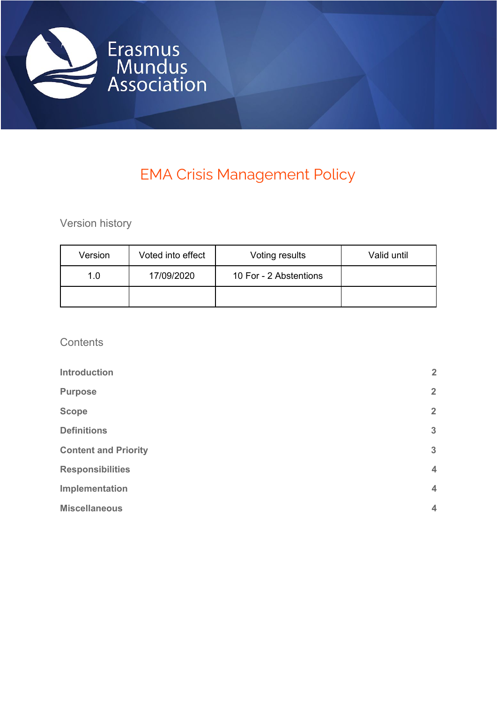

# EMA Crisis Management Policy

Version history

| Version | Voted into effect | Voting results         | Valid until |
|---------|-------------------|------------------------|-------------|
| 1.0     | 17/09/2020        | 10 For - 2 Abstentions |             |
|         |                   |                        |             |

**Contents** 

| <b>Introduction</b>         | $\overline{2}$ |
|-----------------------------|----------------|
| <b>Purpose</b>              | $\overline{2}$ |
| <b>Scope</b>                | $\overline{2}$ |
| <b>Definitions</b>          | $\mathbf{3}$   |
| <b>Content and Priority</b> | $\mathbf{3}$   |
| <b>Responsibilities</b>     | $\overline{4}$ |
| Implementation              | $\overline{4}$ |
| <b>Miscellaneous</b>        | $\overline{4}$ |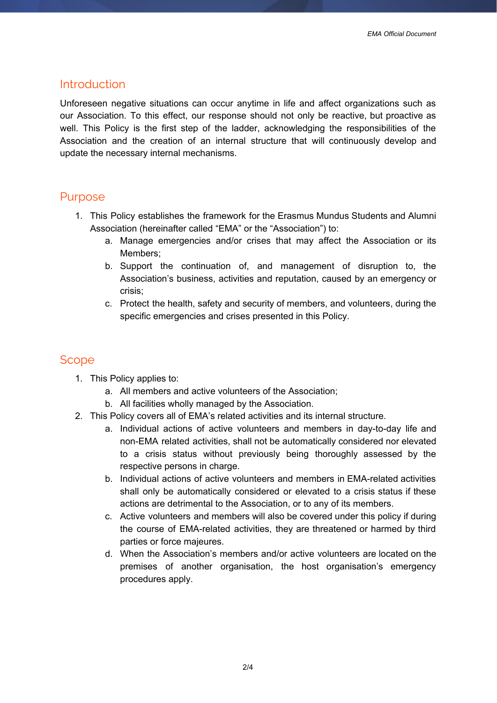## <span id="page-1-0"></span>Introduction

Unforeseen negative situations can occur anytime in life and affect organizations such as our Association. To this effect, our response should not only be reactive, but proactive as well. This Policy is the first step of the ladder, acknowledging the responsibilities of the Association and the creation of an internal structure that will continuously develop and update the necessary internal mechanisms.

### <span id="page-1-1"></span>Purpose

- 1. This Policy establishes the framework for the Erasmus Mundus Students and Alumni Association (hereinafter called "EMA" or the "Association") to:
	- a. Manage emergencies and/or crises that may affect the Association or its Members;
	- b. Support the continuation of, and management of disruption to, the Association's business, activities and reputation, caused by an emergency or crisis;
	- c. Protect the health, safety and security of members, and volunteers, during the specific emergencies and crises presented in this Policy.

## <span id="page-1-2"></span>Scope

- 1. This Policy applies to:
	- a. All members and active volunteers of the Association;
	- b. All facilities wholly managed by the Association.
- 2. This Policy covers all of EMA's related activities and its internal structure.
	- a. Individual actions of active volunteers and members in day-to-day life and non-EMA related activities, shall not be automatically considered nor elevated to a crisis status without previously being thoroughly assessed by the respective persons in charge.
	- b. Individual actions of active volunteers and members in EMA-related activities shall only be automatically considered or elevated to a crisis status if these actions are detrimental to the Association, or to any of its members.
	- c. Active volunteers and members will also be covered under this policy if during the course of EMA-related activities, they are threatened or harmed by third parties or force majeures.
	- d. When the Association's members and/or active volunteers are located on the premises of another organisation, the host organisation's emergency procedures apply.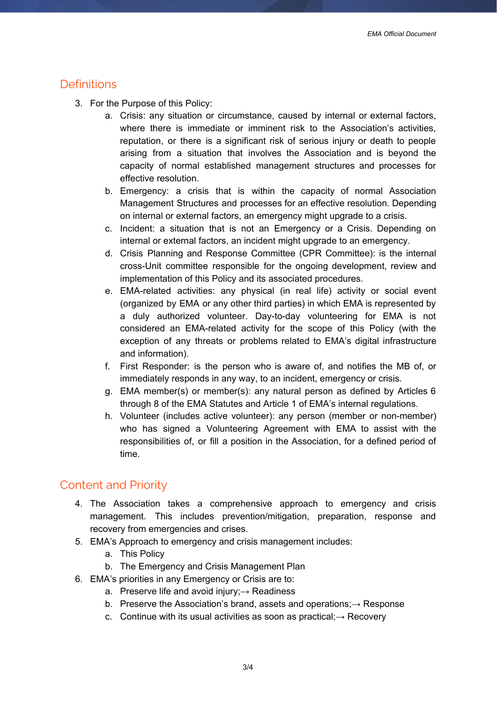# <span id="page-2-0"></span>**Definitions**

- 3. For the Purpose of this Policy:
	- a. Crisis: any situation or circumstance, caused by internal or external factors, where there is immediate or imminent risk to the Association's activities, reputation, or there is a significant risk of serious injury or death to people arising from a situation that involves the Association and is beyond the capacity of normal established management structures and processes for effective resolution.
	- b. Emergency: a crisis that is within the capacity of normal Association Management Structures and processes for an effective resolution. Depending on internal or external factors, an emergency might upgrade to a crisis.
	- c. Incident: a situation that is not an Emergency or a Crisis. Depending on internal or external factors, an incident might upgrade to an emergency.
	- d. Crisis Planning and Response Committee (CPR Committee): is the internal cross-Unit committee responsible for the ongoing development, review and implementation of this Policy and its associated procedures.
	- e. EMA-related activities: any physical (in real life) activity or social event (organized by EMA or any other third parties) in which EMA is represented by a duly authorized volunteer. Day-to-day volunteering for EMA is not considered an EMA-related activity for the scope of this Policy (with the exception of any threats or problems related to EMA's digital infrastructure and information).
	- f. First Responder: is the person who is aware of, and notifies the MB of, or immediately responds in any way, to an incident, emergency or crisis.
	- g. EMA member(s) or member(s): any natural person as defined by Articles 6 through 8 of the EMA Statutes and Article 1 of EMA's internal regulations.
	- h. Volunteer (includes active volunteer): any person (member or non-member) who has signed a Volunteering Agreement with EMA to assist with the responsibilities of, or fill a position in the Association, for a defined period of time.

# <span id="page-2-1"></span>Content and Priority

- 4. The Association takes a comprehensive approach to emergency and crisis management. This includes prevention/mitigation, preparation, response and recovery from emergencies and crises.
- 5. EMA's Approach to emergency and crisis management includes:
	- a. This Policy
	- b. The Emergency and Crisis Management Plan
- 6. EMA's priorities in any Emergency or Crisis are to:
	- a. Preserve life and avoid injury; $\rightarrow$  Readiness
	- b. Preserve the Association's brand, assets and operations;→ Response
	- c. Continue with its usual activities as soon as practical;→ Recovery